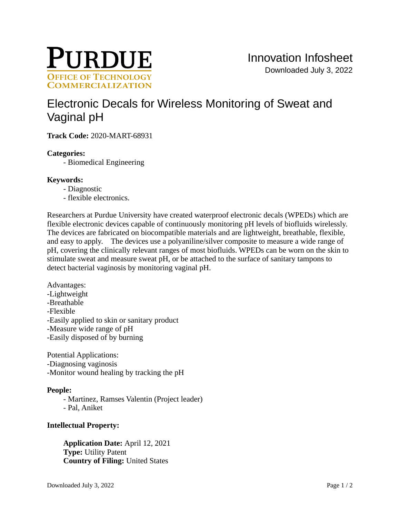

# [Electronic Decals for Wireless Monitoring of Sweat and](https://inventions.prf.org/innovation/7541)  [Vaginal pH](https://inventions.prf.org/innovation/7541)

**Track Code:** 2020-MART-68931

## **Categories:**

- Biomedical Engineering

## **Keywords:**

- Diagnostic
- flexible electronics.

Researchers at Purdue University have created waterproof electronic decals (WPEDs) which are flexible electronic devices capable of continuously monitoring pH levels of biofluids wirelessly. The devices are fabricated on biocompatible materials and are lightweight, breathable, flexible, and easy to apply. The devices use a polyaniline/silver composite to measure a wide range of pH, covering the clinically relevant ranges of most biofluids. WPEDs can be worn on the skin to stimulate sweat and measure sweat pH, or be attached to the surface of sanitary tampons to detect bacterial vaginosis by monitoring vaginal pH.

Advantages: -Lightweight -Breathable -Flexible -Easily applied to skin or sanitary product -Measure wide range of pH -Easily disposed of by burning

Potential Applications: -Diagnosing vaginosis -Monitor wound healing by tracking the pH

# **People:**

- Martinez, Ramses Valentin (Project leader)

- Pal, Aniket

### **Intellectual Property:**

**Application Date:** April 12, 2021 **Type:** Utility Patent **Country of Filing:** United States